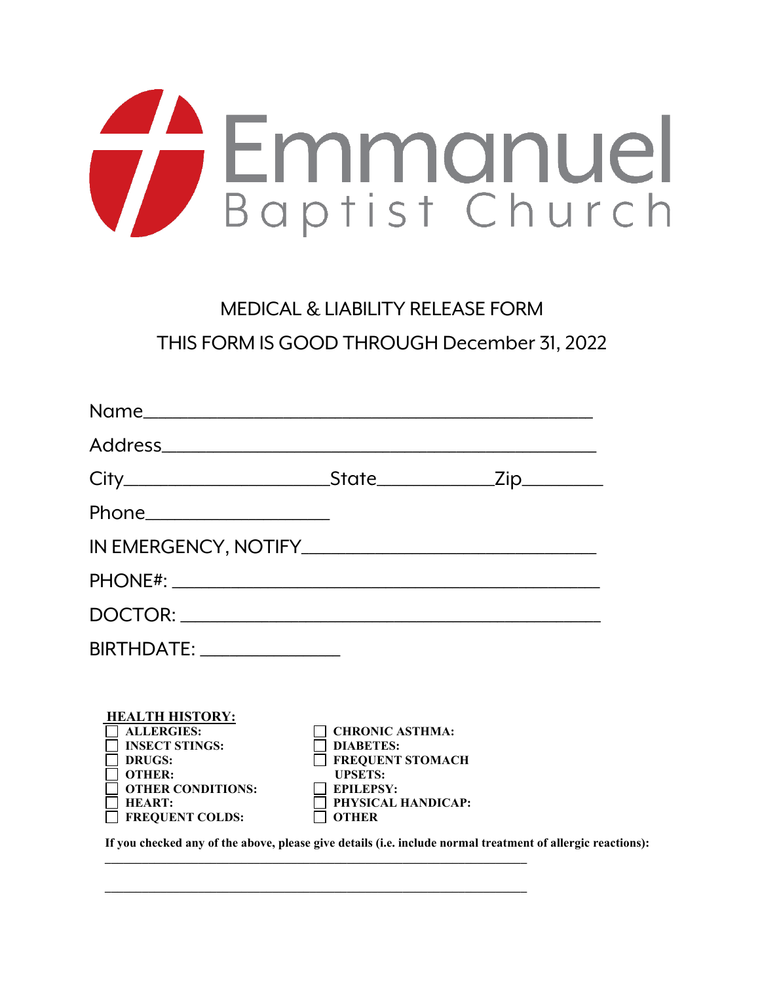

## MEDICAL & LIABILITY RELEASE FORM

THIS FORM IS GOOD THROUGH December 31, 2022

| BIRTHDATE: _______________                                                                                                                                                                                                                                                            |                                                                                                                                                   |  |
|---------------------------------------------------------------------------------------------------------------------------------------------------------------------------------------------------------------------------------------------------------------------------------------|---------------------------------------------------------------------------------------------------------------------------------------------------|--|
| <b>HEALTH HISTORY:</b><br><b>ALLERGIES:</b><br><b>INSECT STINGS:</b><br>DRUGS:<br><b>OTHER:</b><br><b>OTHER CONDITIONS:</b><br><b>HEART:</b><br><b>FREQUENT COLDS:</b><br>If you checked any of the above, please give details (i.e. include normal treatment of allergic reactions): | <b>CHRONIC ASTHMA:</b><br><b>DIABETES:</b><br><b>FREQUENT STOMACH</b><br><b>UPSETS:</b><br><b>EPILEPSY:</b><br>PHYSICAL HANDICAP:<br><b>OTHER</b> |  |

 **\_\_\_\_\_\_\_\_\_\_\_\_\_\_\_\_\_\_\_\_\_\_\_\_\_\_\_\_\_\_\_\_\_\_\_\_\_\_\_\_\_\_\_\_\_\_\_\_\_\_\_\_\_\_\_\_\_\_\_\_\_\_\_\_\_\_\_\_**

 **\_\_\_\_\_\_\_\_\_\_\_\_\_\_\_\_\_\_\_\_\_\_\_\_\_\_\_\_\_\_\_\_\_\_\_\_\_\_\_\_\_\_\_\_\_\_\_\_\_\_\_\_\_\_\_\_\_\_\_\_\_\_\_\_\_\_\_\_**